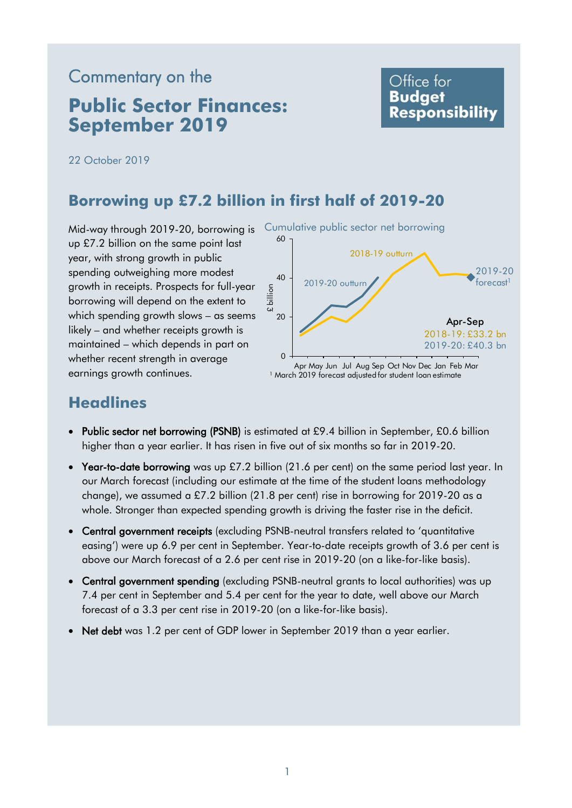# Commentary on the

# **Public Sector Finances: September 2019**

## Office for **Budget Responsibility**

22 October 2019

## **Borrowing up £7.2 billion in first half of 2019-20**

Mid-way through 2019-20, borrowing is Cumulative public sector net borrowing up £7.2 billion on the same point last year, with strong growth in public spending outweighing more modest growth in receipts. Prospects for full-year borrowing will depend on the extent to which spending growth slows – as seems likely – and whether receipts growth is maintained – which depends in part on whether recent strength in average earnings growth continues.



# **Headlines**

- Public sector net borrowing (PSNB) is estimated at £9.4 billion in September, £0.6 billion higher than a year earlier. It has risen in five out of six months so far in 2019-20.
- Year-to-date borrowing was up £7.2 billion (21.6 per cent) on the same period last year. In our March forecast (including our estimate at the time of the student loans methodology change), we assumed a £7.2 billion (21.8 per cent) rise in borrowing for 2019-20 as a whole. Stronger than expected spending growth is driving the faster rise in the deficit.
- Central government receipts (excluding PSNB-neutral transfers related to 'quantitative easing') were up 6.9 per cent in September. Year-to-date receipts growth of 3.6 per cent is above our March forecast of a 2.6 per cent rise in 2019-20 (on a like-for-like basis).
- Central government spending (excluding PSNB-neutral grants to local authorities) was up 7.4 per cent in September and 5.4 per cent for the year to date, well above our March forecast of a 3.3 per cent rise in 2019-20 (on a like-for-like basis).
- Net debt was 1.2 per cent of GDP lower in September 2019 than a year earlier.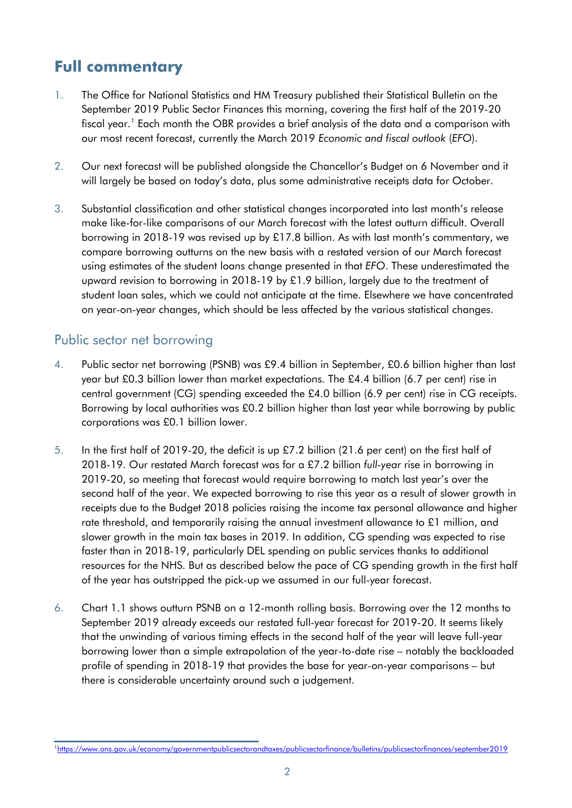# **Full commentary**

- 1. The Office for National Statistics and HM Treasury published their Statistical Bulletin on the September 2019 Public Sector Finances this morning, covering the first half of the 2019-20 fiscal year. 1 Each month the OBR provides a brief analysis of the data and a comparison with our most recent forecast, currently the March 2019 *Economic and fiscal outlook* (*EFO*).
- 2. Our next forecast will be published alongside the Chancellor's Budget on 6 November and it will largely be based on today's data, plus some administrative receipts data for October.
- 3. Substantial classification and other statistical changes incorporated into last month's release make like-for-like comparisons of our March forecast with the latest outturn difficult. Overall borrowing in 2018-19 was revised up by £17.8 billion. As with last month's commentary, we compare borrowing outturns on the new basis with a restated version of our March forecast using estimates of the student loans change presented in that *EFO*. These underestimated the upward revision to borrowing in 2018-19 by £1.9 billion, largely due to the treatment of student loan sales, which we could not anticipate at the time. Elsewhere we have concentrated on year-on-year changes, which should be less affected by the various statistical changes.

## Public sector net borrowing

- 4. Public sector net borrowing (PSNB) was £9.4 billion in September, £0.6 billion higher than last year but £0.3 billion lower than market expectations. The £4.4 billion (6.7 per cent) rise in central government (CG) spending exceeded the £4.0 billion (6.9 per cent) rise in CG receipts. Borrowing by local authorities was £0.2 billion higher than last year while borrowing by public corporations was £0.1 billion lower.
- 5. In the first half of 2019-20, the deficit is up £7.2 billion (21.6 per cent) on the first half of 2018-19. Our restated March forecast was for a £7.2 billion *full-year* rise in borrowing in 2019-20, so meeting that forecast would require borrowing to match last year's over the second half of the year. We expected borrowing to rise this year as a result of slower growth in receipts due to the Budget 2018 policies raising the income tax personal allowance and higher rate threshold, and temporarily raising the annual investment allowance to £1 million, and slower growth in the main tax bases in 2019. In addition, CG spending was expected to rise faster than in 2018-19, particularly DEL spending on public services thanks to additional resources for the NHS. But as described below the pace of CG spending growth in the first half of the year has outstripped the pick-up we assumed in our full-year forecast.
- 6. Chart 1.1 shows outturn PSNB on a 12-month rolling basis. Borrowing over the 12 months to September 2019 already exceeds our restated full-year forecast for 2019-20. It seems likely that the unwinding of various timing effects in the second half of the year will leave full-year borrowing lower than a simple extrapolation of the year-to-date rise – notably the backloaded profile of spending in 2018-19 that provides the base for year-on-year comparisons – but there is considerable uncertainty around such a judgement.

<sup>1</sup><https://www.ons.gov.uk/economy/governmentpublicsectorandtaxes/publicsectorfinance/bulletins/publicsectorfinances/september2019>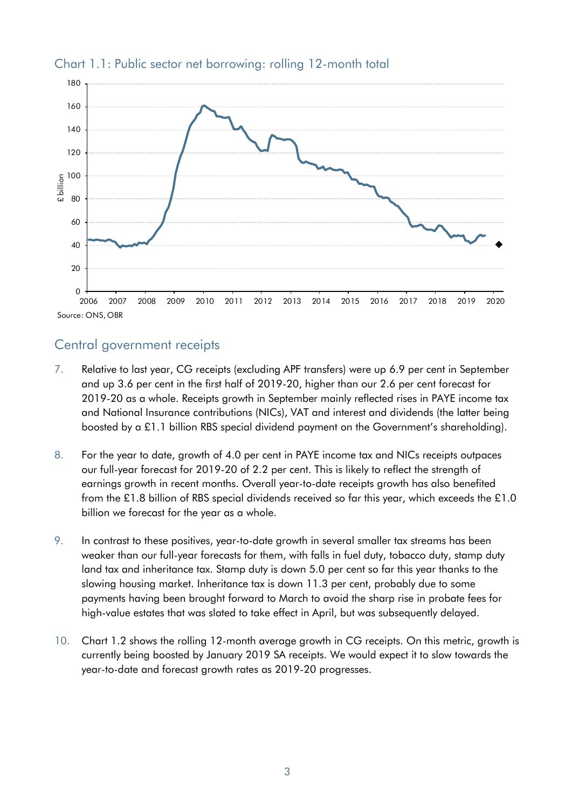

#### Chart 1.1: Public sector net borrowing: rolling 12-month total

### Central government receipts

- 7. Relative to last year, CG receipts (excluding APF transfers) were up 6.9 per cent in September and up 3.6 per cent in the first half of 2019-20, higher than our 2.6 per cent forecast for 2019-20 as a whole. Receipts growth in September mainly reflected rises in PAYE income tax and National Insurance contributions (NICs), VAT and interest and dividends (the latter being boosted by a £1.1 billion RBS special dividend payment on the Government's shareholding).
- 8. For the year to date, growth of 4.0 per cent in PAYE income tax and NICs receipts outpaces our full-year forecast for 2019-20 of 2.2 per cent. This is likely to reflect the strength of earnings growth in recent months. Overall year-to-date receipts growth has also benefited from the £1.8 billion of RBS special dividends received so far this year, which exceeds the £1.0 billion we forecast for the year as a whole.
- 9. In contrast to these positives, year-to-date growth in several smaller tax streams has been weaker than our full-year forecasts for them, with falls in fuel duty, tobacco duty, stamp duty land tax and inheritance tax. Stamp duty is down 5.0 per cent so far this year thanks to the slowing housing market. Inheritance tax is down 11.3 per cent, probably due to some payments having been brought forward to March to avoid the sharp rise in probate fees for high-value estates that was slated to take effect in April, but was subsequently delayed.
- 10. Chart 1.2 shows the rolling 12-month average growth in CG receipts. On this metric, growth is currently being boosted by January 2019 SA receipts. We would expect it to slow towards the year-to-date and forecast growth rates as 2019-20 progresses.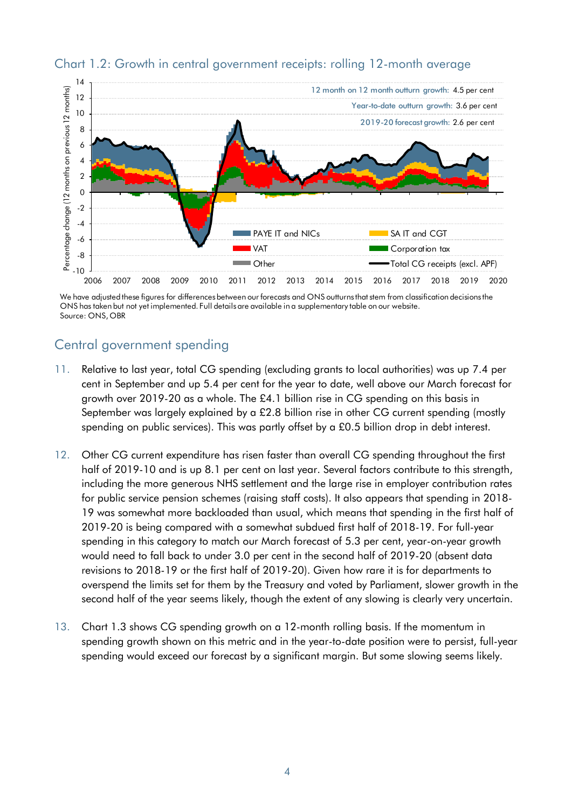

#### Chart 1.2: Growth in central government receipts: rolling 12-month average

We have adjusted these figures for differences between our forecasts and ONS outturns that stem from classification decisions the ONS has taken but not yet implemented. Full details are available in a supplementary table on our website. Source: ONS, OBR

## Central government spending

- 11. Relative to last year, total CG spending (excluding grants to local authorities) was up 7.4 per cent in September and up 5.4 per cent for the year to date, well above our March forecast for growth over 2019-20 as a whole. The £4.1 billion rise in CG spending on this basis in September was largely explained by a £2.8 billion rise in other CG current spending (mostly spending on public services). This was partly offset by a £0.5 billion drop in debt interest.
- 12. Other CG current expenditure has risen faster than overall CG spending throughout the first half of 2019-10 and is up 8.1 per cent on last year. Several factors contribute to this strength, including the more generous NHS settlement and the large rise in employer contribution rates for public service pension schemes (raising staff costs). It also appears that spending in 2018- 19 was somewhat more backloaded than usual, which means that spending in the first half of 2019-20 is being compared with a somewhat subdued first half of 2018-19. For full-year spending in this category to match our March forecast of 5.3 per cent, year-on-year growth would need to fall back to under 3.0 per cent in the second half of 2019-20 (absent data revisions to 2018-19 or the first half of 2019-20). Given how rare it is for departments to overspend the limits set for them by the Treasury and voted by Parliament, slower growth in the second half of the year seems likely, though the extent of any slowing is clearly very uncertain.
- 13. Chart 1.3 shows CG spending growth on a 12-month rolling basis. If the momentum in spending growth shown on this metric and in the year-to-date position were to persist, full-year spending would exceed our forecast by a significant margin. But some slowing seems likely.